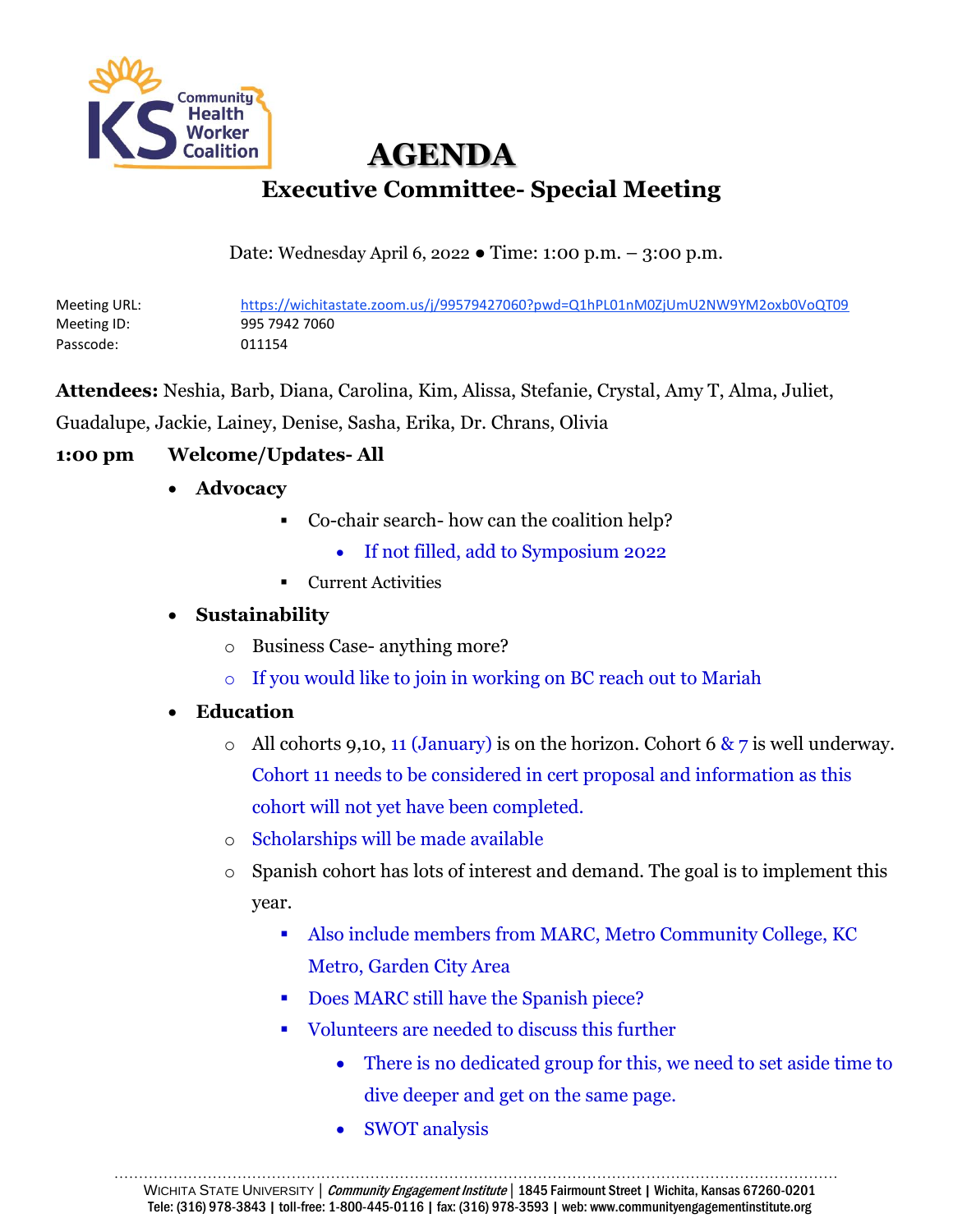

 **AGENDA Executive Committee- Special Meeting**

Date: Wednesday April 6, 2022 ● Time: 1:00 p.m. – 3:00 p.m.

Meeting URL: https://wichitastate.zoom.us/j/99579427060?pwd=Q1hPL01nM0ZjUmU2NW9YM2oxb0VoQT09 Meeting ID: 995 7942 7060 Passcode: 011154

**Attendees:** Neshia, Barb, Diana, Carolina, Kim, Alissa, Stefanie, Crystal, Amy T, Alma, Juliet, Guadalupe, Jackie, Lainey, Denise, Sasha, Erika, Dr. Chrans, Olivia

# **1:00 pm Welcome/Updates- All**

- **Advocacy**
	- Co-chair search- how can the coalition help?
		- If not filled, add to Symposium 2022
	- Current Activities

#### • **Sustainability**

- o Business Case- anything more?
- o If you would like to join in working on BC reach out to Mariah

### • **Education**

- o All cohorts 9,10, 11 (January) is on the horizon. Cohort 6  $\& \, 7$  is well underway. Cohort 11 needs to be considered in cert proposal and information as this cohort will not yet have been completed.
- o Scholarships will be made available
- o Spanish cohort has lots of interest and demand. The goal is to implement this year.
	- Also include members from MARC, Metro Community College, KC Metro, Garden City Area
	- Does MARC still have the Spanish piece?
	- Volunteers are needed to discuss this further
		- There is no dedicated group for this, we need to set aside time to dive deeper and get on the same page.
		- SWOT analysis

………………………………………………………………………………………………………………………………… WICHITA STATE UNIVERSITY | Community Engagement Institute | 1845 Fairmount Street | Wichita, Kansas 67260-0201 Tele: (316) 978-3843 | toll-free: 1-800-445-0116 | fax: (316) 978-3593 | web: www.communityengagementinstitute.org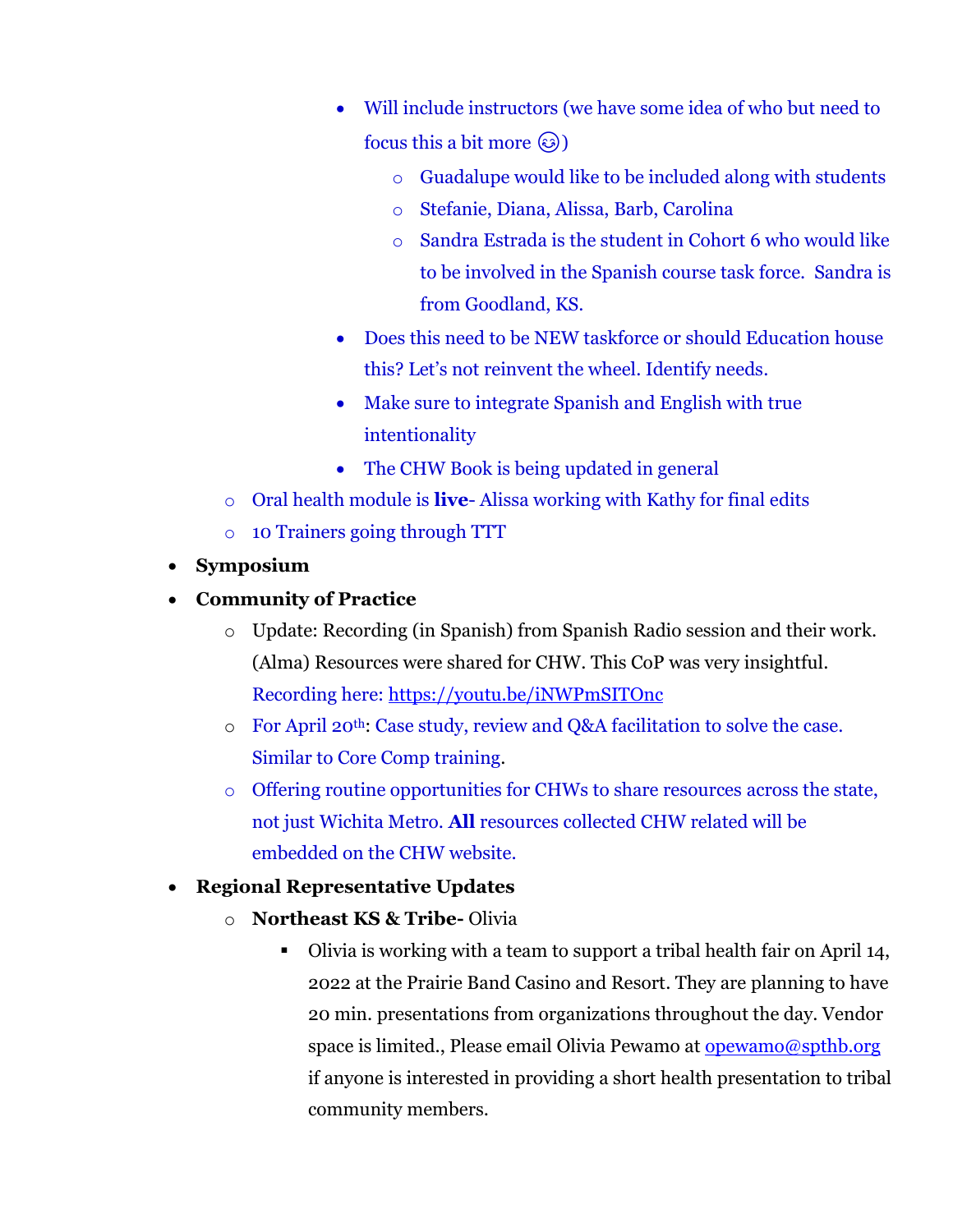- Will include instructors (we have some idea of who but need to focus this a bit more  $\circled{e}$ )
	- o Guadalupe would like to be included along with students
	- o Stefanie, Diana, Alissa, Barb, Carolina
	- o Sandra Estrada is the student in Cohort 6 who would like to be involved in the Spanish course task force. Sandra is from Goodland, KS.
- Does this need to be NEW taskforce or should Education house this? Let's not reinvent the wheel. Identify needs.
- Make sure to integrate Spanish and English with true intentionality
- The CHW Book is being updated in general
- o Oral health module is **live** Alissa working with Kathy for final edits
- o 10 Trainers going through TTT
- **Symposium**
- **Community of Practice**
	- o Update: Recording (in Spanish) from Spanish Radio session and their work. (Alma) Resources were shared for CHW. This CoP was very insightful. Recording here:<https://youtu.be/iNWPmSITOnc>
	- o For April 20th: Case study, review and Q&A facilitation to solve the case. Similar to Core Comp training.
	- o Offering routine opportunities for CHWs to share resources across the state, not just Wichita Metro. **All** resources collected CHW related will be embedded on the CHW website.
- **Regional Representative Updates**
	- o **Northeast KS & Tribe-** Olivia
		- Olivia is working with a team to support a tribal health fair on April 14, 2022 at the Prairie Band Casino and Resort. They are planning to have 20 min. presentations from organizations throughout the day. Vendor space is limited., Please email Olivia Pewamo at [opewamo@spthb.org](mailto:opewamo@spthb.org) if anyone is interested in providing a short health presentation to tribal community members.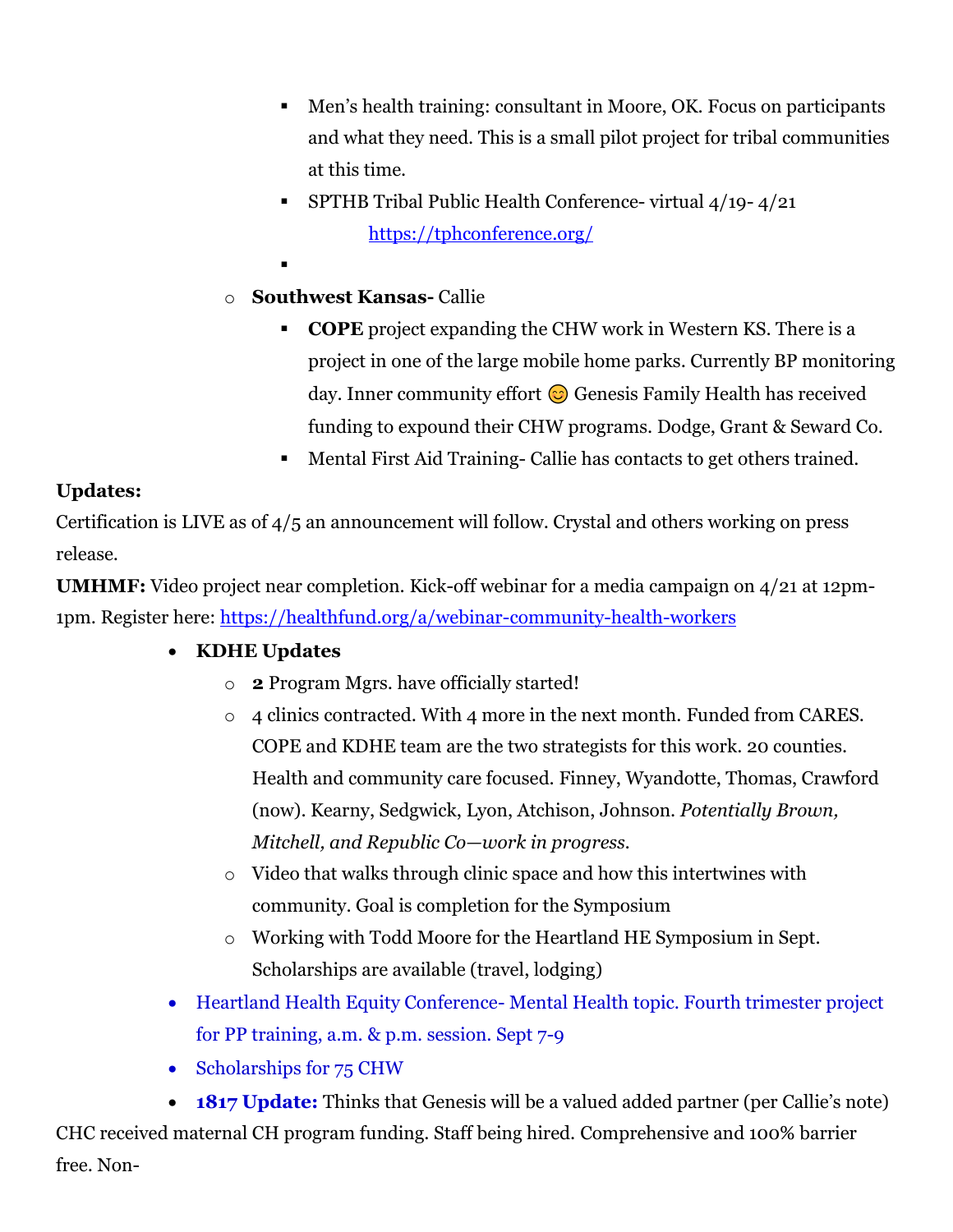- Men's health training: consultant in Moore, OK. Focus on participants and what they need. This is a small pilot project for tribal communities at this time.
- **SPTHB Tribal Public Health Conference- virtual**  $4/19 4/21$ <https://tphconference.org/>
- ▪
- o **Southwest Kansas-** Callie
	- **COPE** project expanding the CHW work in Western KS. There is a project in one of the large mobile home parks. Currently BP monitoring day. Inner community effort  $\odot$  Genesis Family Health has received funding to expound their CHW programs. Dodge, Grant & Seward Co.
	- Mental First Aid Training- Callie has contacts to get others trained.

## **Updates:**

Certification is LIVE as of 4/5 an announcement will follow. Crystal and others working on press release.

**UMHMF:** Video project near completion. Kick-off webinar for a media campaign on 4/21 at 12pm-1pm. Register here:<https://healthfund.org/a/webinar-community-health-workers>

# • **KDHE Updates**

- o **2** Program Mgrs. have officially started!
- o 4 clinics contracted. With 4 more in the next month. Funded from CARES. COPE and KDHE team are the two strategists for this work. 20 counties. Health and community care focused. Finney, Wyandotte, Thomas, Crawford (now). Kearny, Sedgwick, Lyon, Atchison, Johnson. *Potentially Brown, Mitchell, and Republic Co—work in progress.*
- o Video that walks through clinic space and how this intertwines with community. Goal is completion for the Symposium
- o Working with Todd Moore for the Heartland HE Symposium in Sept. Scholarships are available (travel, lodging)
- Heartland Health Equity Conference- Mental Health topic. Fourth trimester project for PP training, a.m. & p.m. session. Sept 7-9
- Scholarships for 75 CHW
- **1817 Update:** Thinks that Genesis will be a valued added partner (per Callie's note)

CHC received maternal CH program funding. Staff being hired. Comprehensive and 100% barrier free. Non-